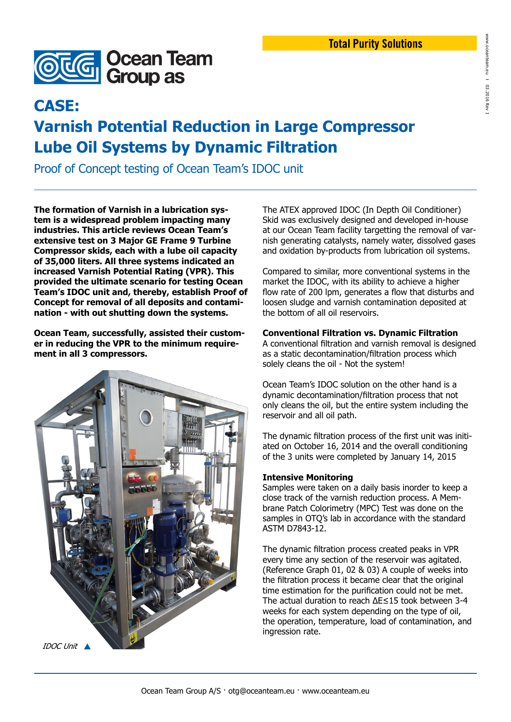

## **CASE:**

# **Varnish Potential Reduction in Large Compressor Lube Oil Systems by Dynamic Filtration**

Proof of Concept testing of Ocean Team's IDOC unit

**The formation of Varnish in a lubrication system is a widespread problem impacting many industries. This article reviews Ocean Team's extensive test on 3 Major GE Frame 9 Turbine Compressor skids, each with a lube oil capacity of 35,000 liters. All three systems indicated an increased Varnish Potential Rating (VPR). This provided the ultimate scenario for testing Ocean Team's IDOC unit and, thereby, establish Proof of Concept for removal of all deposits and contamination - with out shutting down the systems.** 

**Ocean Team, successfully, assisted their customer in reducing the VPR to the minimum requirement in all 3 compressors.** 



The ATEX approved IDOC (In Depth Oil Conditioner) Skid was exclusively designed and developed in-house at our Ocean Team facility targetting the removal of varnish generating catalysts, namely water, dissolved gases and oxidation by-products from lubrication oil systems.

Compared to similar, more conventional systems in the market the IDOC, with its ability to achieve a higher flow rate of 200 lpm, generates a flow that disturbs and loosen sludge and varnish contamination deposited at the bottom of all oil reservoirs.

### **Conventional Filtration vs. Dynamic Filtration**

A conventional filtration and varnish removal is designed as a static decontamination/filtration process which solely cleans the oil - Not the system!

Ocean Team's IDOC solution on the other hand is a dynamic decontamination/filtration process that not only cleans the oil, but the entire system including the reservoir and all oil path.

The dynamic filtration process of the first unit was initiated on October 16, 2014 and the overall conditioning of the 3 units were completed by January 14, 2015

#### **Intensive Monitoring**

Samples were taken on a daily basis inorder to keep a close track of the varnish reduction process. A Membrane Patch Colorimetry (MPC) Test was done on the samples in OTQ's lab in accordance with the standard ASTM D7843-12.

The dynamic filtration process created peaks in VPR every time any section of the reservoir was agitated. (Reference Graph 01, 02 & 03) A couple of weeks into the filtration process it became clear that the original time estimation for the purification could not be met. The actual duration to reach ΔE≤15 took between 3-4 weeks for each system depending on the type of oil, the operation, temperature, load of contamination, and ingression rate.